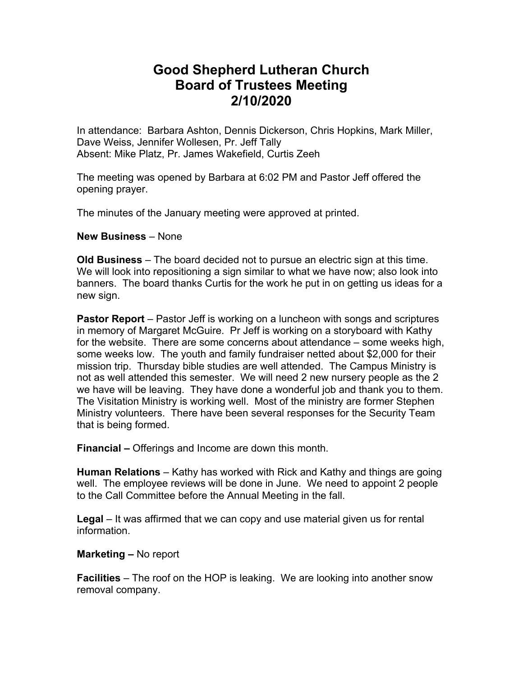## **Good Shepherd Lutheran Church Board of Trustees Meeting 2/10/2020**

In attendance: Barbara Ashton, Dennis Dickerson, Chris Hopkins, Mark Miller, Dave Weiss, Jennifer Wollesen, Pr. Jeff Tally Absent: Mike Platz, Pr. James Wakefield, Curtis Zeeh

The meeting was opened by Barbara at 6:02 PM and Pastor Jeff offered the opening prayer.

The minutes of the January meeting were approved at printed.

## **New Business** – None

**Old Business** – The board decided not to pursue an electric sign at this time. We will look into repositioning a sign similar to what we have now; also look into banners. The board thanks Curtis for the work he put in on getting us ideas for a new sign.

**Pastor Report** – Pastor Jeff is working on a luncheon with songs and scriptures in memory of Margaret McGuire. Pr Jeff is working on a storyboard with Kathy for the website. There are some concerns about attendance – some weeks high, some weeks low. The youth and family fundraiser netted about \$2,000 for their mission trip. Thursday bible studies are well attended. The Campus Ministry is not as well attended this semester. We will need 2 new nursery people as the 2 we have will be leaving. They have done a wonderful job and thank you to them. The Visitation Ministry is working well. Most of the ministry are former Stephen Ministry volunteers. There have been several responses for the Security Team that is being formed.

**Financial –** Offerings and Income are down this month.

**Human Relations** – Kathy has worked with Rick and Kathy and things are going well. The employee reviews will be done in June. We need to appoint 2 people to the Call Committee before the Annual Meeting in the fall.

**Legal** – It was affirmed that we can copy and use material given us for rental information.

## **Marketing –** No report

**Facilities** – The roof on the HOP is leaking. We are looking into another snow removal company.